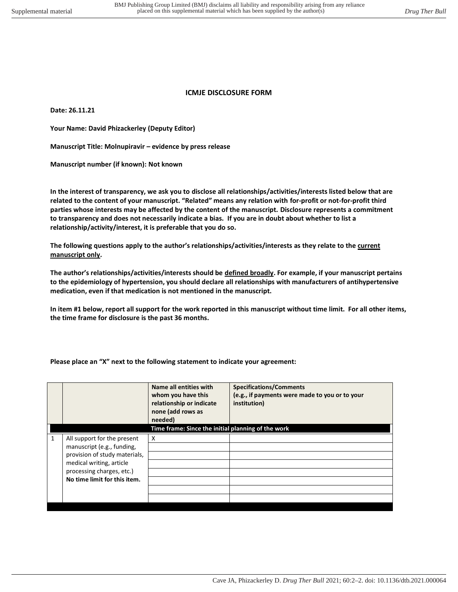## **ICMJE DISCLOSURE FORM**

**Date: 26.11.21** 

**Your Name: David Phizackerley (Deputy Editor)** 

**Manuscript Title: Molnupiravir – evidence by press release** 

**Manuscript number (if known): Not known** 

**In the interest of transparency, we ask you to disclose all relationships/activities/interests listed below that are related to the content of your manuscript. "Related" means any relation with for-profit or not-for-profit third parties whose interests may be affected by the content of the manuscript. Disclosure represents a commitment to transparency and does not necessarily indicate a bias. If you are in doubt about whether to list a relationship/activity/interest, it is preferable that you do so.** 

**The following questions apply to the author's relationships/activities/interests as they relate to the current manuscript only.** 

**The author's relationships/activities/interests should be defined broadly. For example, if your manuscript pertains to the epidemiology of hypertension, you should declare all relationships with manufacturers of antihypertensive medication, even if that medication is not mentioned in the manuscript.** 

**In item #1 below, report all support for the work reported in this manuscript without time limit. For all other items, the time frame for disclosure is the past 36 months.** 

**Please place an "X" next to the following statement to indicate your agreement:**

| Name all entities with<br><b>Specifications/Comments</b><br>(e.g., if payments were made to you or to your<br>whom you have this<br>relationship or indicate<br>institution)<br>none (add rows as |  |  |
|---------------------------------------------------------------------------------------------------------------------------------------------------------------------------------------------------|--|--|
| needed)                                                                                                                                                                                           |  |  |
| Time frame: Since the initial planning of the work                                                                                                                                                |  |  |
| 1<br>All support for the present<br>X<br>manuscript (e.g., funding,<br>provision of study materials,<br>medical writing, article<br>processing charges, etc.)<br>No time limit for this item.     |  |  |